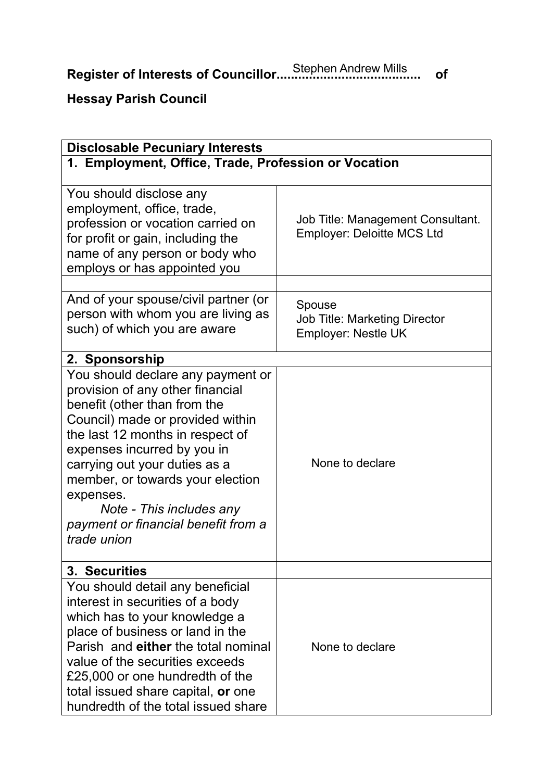**Register of Interests of Councillor........................................ of** Stephen Andrew Mills

## **Hessay Parish Council**

| <b>Disclosable Pecuniary Interests</b>                                                                                                                                                                                                                                                                                                                                           |                                                                        |  |  |  |
|----------------------------------------------------------------------------------------------------------------------------------------------------------------------------------------------------------------------------------------------------------------------------------------------------------------------------------------------------------------------------------|------------------------------------------------------------------------|--|--|--|
| 1. Employment, Office, Trade, Profession or Vocation                                                                                                                                                                                                                                                                                                                             |                                                                        |  |  |  |
| You should disclose any<br>employment, office, trade,<br>profession or vocation carried on<br>for profit or gain, including the<br>name of any person or body who<br>employs or has appointed you                                                                                                                                                                                | Job Title: Management Consultant.<br><b>Employer: Deloitte MCS Ltd</b> |  |  |  |
| And of your spouse/civil partner (or<br>person with whom you are living as<br>such) of which you are aware                                                                                                                                                                                                                                                                       | Spouse<br><b>Job Title: Marketing Director</b><br>Employer: Nestle UK  |  |  |  |
| 2. Sponsorship                                                                                                                                                                                                                                                                                                                                                                   |                                                                        |  |  |  |
| You should declare any payment or<br>provision of any other financial<br>benefit (other than from the<br>Council) made or provided within<br>the last 12 months in respect of<br>expenses incurred by you in<br>carrying out your duties as a<br>member, or towards your election<br>expenses.<br>Note - This includes any<br>payment or financial benefit from a<br>trade union | None to declare                                                        |  |  |  |
| 3. Securities                                                                                                                                                                                                                                                                                                                                                                    |                                                                        |  |  |  |
| You should detail any beneficial<br>interest in securities of a body<br>which has to your knowledge a<br>place of business or land in the<br>Parish and either the total nominal<br>value of the securities exceeds<br>£25,000 or one hundredth of the<br>total issued share capital, or one<br>hundredth of the total issued share                                              | None to declare                                                        |  |  |  |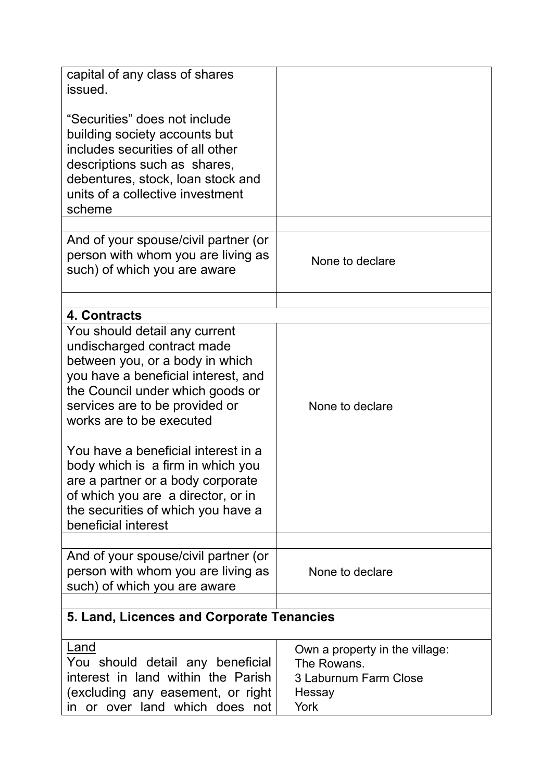| capital of any class of shares<br>issued.                                                                                                                                                                                               |                                                                                          |
|-----------------------------------------------------------------------------------------------------------------------------------------------------------------------------------------------------------------------------------------|------------------------------------------------------------------------------------------|
| "Securities" does not include<br>building society accounts but<br>includes securities of all other<br>descriptions such as shares,<br>debentures, stock, loan stock and<br>units of a collective investment<br>scheme                   |                                                                                          |
|                                                                                                                                                                                                                                         |                                                                                          |
| And of your spouse/civil partner (or<br>person with whom you are living as<br>such) of which you are aware                                                                                                                              | None to declare                                                                          |
|                                                                                                                                                                                                                                         |                                                                                          |
| 4. Contracts                                                                                                                                                                                                                            |                                                                                          |
| You should detail any current<br>undischarged contract made<br>between you, or a body in which<br>you have a beneficial interest, and<br>the Council under which goods or<br>services are to be provided or<br>works are to be executed | None to declare                                                                          |
| You have a beneficial interest in a<br>body which is a firm in which you<br>are a partner or a body corporate<br>of which you are a director, or in<br>the securities of which you have a<br>beneficial interest                        |                                                                                          |
|                                                                                                                                                                                                                                         |                                                                                          |
| And of your spouse/civil partner (or<br>person with whom you are living as<br>such) of which you are aware                                                                                                                              | None to declare                                                                          |
|                                                                                                                                                                                                                                         |                                                                                          |
| 5. Land, Licences and Corporate Tenancies                                                                                                                                                                                               |                                                                                          |
| Land<br>You should detail any beneficial<br>interest in land within the Parish<br>(excluding any easement, or right<br>in or over land which does not                                                                                   | Own a property in the village:<br>The Rowans.<br>3 Laburnum Farm Close<br>Hessay<br>York |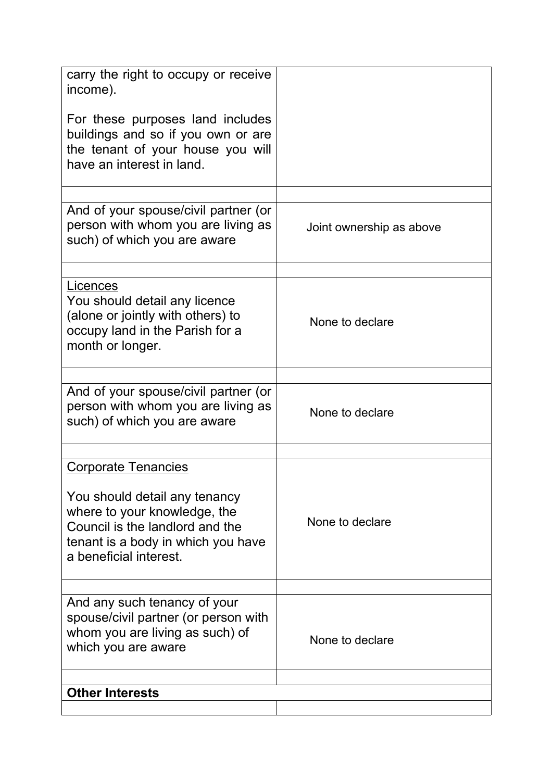| carry the right to occupy or receive<br>income).                                                                                                                 |                          |  |  |  |
|------------------------------------------------------------------------------------------------------------------------------------------------------------------|--------------------------|--|--|--|
| For these purposes land includes<br>buildings and so if you own or are<br>the tenant of your house you will<br>have an interest in land.                         |                          |  |  |  |
| And of your spouse/civil partner (or                                                                                                                             |                          |  |  |  |
| person with whom you are living as<br>such) of which you are aware                                                                                               | Joint ownership as above |  |  |  |
|                                                                                                                                                                  |                          |  |  |  |
| Licences<br>You should detail any licence<br>(alone or jointly with others) to<br>occupy land in the Parish for a<br>month or longer.                            | None to declare          |  |  |  |
|                                                                                                                                                                  |                          |  |  |  |
| And of your spouse/civil partner (or<br>person with whom you are living as<br>such) of which you are aware                                                       | None to declare          |  |  |  |
|                                                                                                                                                                  |                          |  |  |  |
| <b>Corporate Tenancies</b>                                                                                                                                       |                          |  |  |  |
| You should detail any tenancy<br>where to your knowledge, the<br>Council is the landlord and the<br>tenant is a body in which you have<br>a beneficial interest. | None to declare          |  |  |  |
|                                                                                                                                                                  |                          |  |  |  |
| And any such tenancy of your<br>spouse/civil partner (or person with<br>whom you are living as such) of<br>which you are aware                                   | None to declare          |  |  |  |
| <b>Other Interests</b>                                                                                                                                           |                          |  |  |  |
|                                                                                                                                                                  |                          |  |  |  |